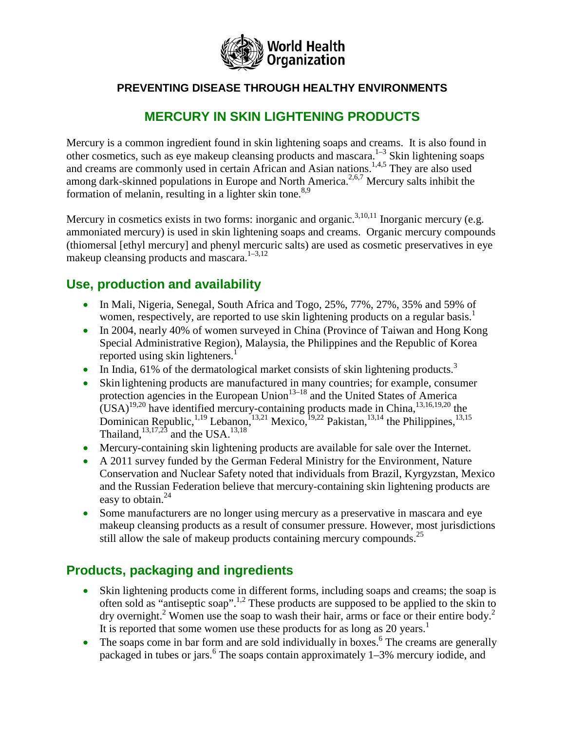

#### **PREVENTING DISEASE THROUGH HEALTHY ENVIRONMENTS**

## **MERCURY IN SKIN LIGHTENING PRODUCTS**

Mercury is a common ingredient found in skin lightening soaps and creams. It is also found in other cosmetics, such as eye makeup cleansing products and mascara.<sup>1-3</sup> Skin lightening soaps and creams are commonly used in certain African and Asian nations.<sup>1,4,5</sup> They are also used among dark-skinned populations in Europe and North America.<sup>2,6,7</sup> Mercury salts inhibit the formation of melanin, resulting in a lighter skin tone.<sup>8,9</sup>

Mercury in cosmetics exists in two forms: inorganic and organic.<sup>3,10,11</sup> Inorganic mercury (e.g. ammoniated mercury) is used in skin lightening soaps and creams. Organic mercury compounds (thiomersal [ethyl mercury] and phenyl mercuric salts) are used as cosmetic preservatives in eye makeup cleansing products and mascara.<sup>1–3,12</sup>

### **Use, production and availability**

- In Mali, Nigeria, Senegal, South Africa and Togo, 25%, 77%, 27%, 35% and 59% of women, respectively, are reported to use skin lightening products on a regular basis.<sup>1</sup>
- In 2004, nearly 40% of women surveyed in China (Province of Taiwan and Hong Kong Special Administrative Region), Malaysia, the Philippines and the Republic of Korea reported using skin lighteners.<sup>1</sup>
- In India, 61% of the dermatological market consists of skin lightening products.<sup>3</sup>
- Skin lightening products are manufactured in many countries; for example, consumer protection agencies in the European Union<sup>13–18</sup> and the United States of America  $\text{(USA)}^{19,20}$  have identified mercury-containing products made in China,  $^{13,16,19,20}$  the Dominican Republic, <sup>1,19</sup> Lebanon, <sup>13,21</sup> Mexico, <sup>19,22</sup> Pakistan, <sup>13,14</sup> the Philippines, <sup>13,15</sup> Thailand,  $13,17,23$  and the USA.  $13,18$
- Mercury-containing skin lightening products are available for sale over the Internet.
- A 2011 survey funded by the German Federal Ministry for the Environment, Nature Conservation and Nuclear Safety noted that individuals from Brazil, Kyrgyzstan, Mexico and the Russian Federation believe that mercury-containing skin lightening products are easy to obtain. $^{24}$
- Some manufacturers are no longer using mercury as a preservative in mascara and eye makeup cleansing products as a result of consumer pressure. However, most jurisdictions still allow the sale of makeup products containing mercury compounds.<sup>25</sup>

### **Products, packaging and ingredients**

- Skin lightening products come in different forms, including soaps and creams; the soap is often sold as "antiseptic soap".<sup>1,2</sup> These products are supposed to be applied to the skin to  $\frac{1}{2}$  dry overnight.<sup>2</sup> Women use the soap to wash their hair, arms or face or their entire body.<sup>2</sup> It is reported that some women use these products for as long as 20 years.<sup>1</sup>
- The soaps come in bar form and are sold individually in boxes.<sup>6</sup> The creams are generally packaged in tubes or jars.<sup>6</sup> The soaps contain approximately  $1-3\%$  mercury iodide, and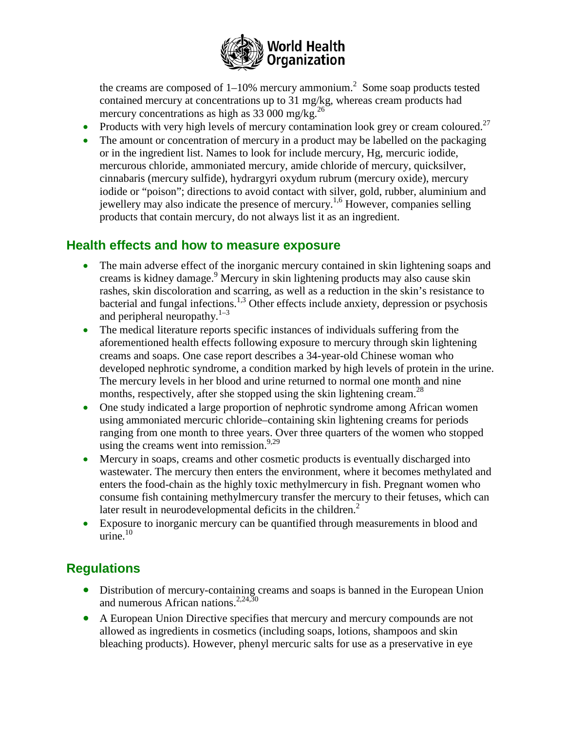

the creams are composed of  $1-10\%$  mercury ammonium.<sup>2</sup> Some soap products tested contained mercury at concentrations up to 31 mg/kg, whereas cream products had mercury concentrations as high as  $33\,000$  mg/kg.<sup>26</sup>

- Products with very high levels of mercury contamination look grey or cream coloured.<sup>27</sup>
- The amount or concentration of mercury in a product may be labelled on the packaging or in the ingredient list. Names to look for include mercury, Hg, mercuric iodide, mercurous chloride, ammoniated mercury, amide chloride of mercury, quicksilver, cinnabaris (mercury sulfide), hydrargyri oxydum rubrum (mercury oxide), mercury iodide or "poison"; directions to avoid contact with silver, gold, rubber, aluminium and jewellery may also indicate the presence of mercury.<sup>1,6</sup> However, companies selling products that contain mercury, do not always list it as an ingredient.

#### **Health effects and how to measure exposure**

- The main adverse effect of the inorganic mercury contained in skin lightening soaps and creams is kidney damage. <sup>9</sup> Mercury in skin lightening products may also cause skin rashes, skin discoloration and scarring, as well as a reduction in the skin's resistance to bacterial and fungal infections.<sup>1,3</sup> Other effects include anxiety, depression or psychosis and peripheral neuropathy. $1-3$
- The medical literature reports specific instances of individuals suffering from the aforementioned health effects following exposure to mercury through skin lightening creams and soaps. One case report describes a 34-year-old Chinese woman who developed nephrotic syndrome, a condition marked by high levels of protein in the urine. The mercury levels in her blood and urine returned to normal one month and nine months, respectively, after she stopped using the skin lightening cream.<sup>28</sup>
- One study indicated a large proportion of nephrotic syndrome among African women using ammoniated mercuric chloride–containing skin lightening creams for periods ranging from one month to three years. Over three quarters of the women who stopped using the creams went into remission.<sup>9,29</sup>
- Mercury in soaps, creams and other cosmetic products is eventually discharged into wastewater. The mercury then enters the environment, where it becomes methylated and enters the food-chain as the highly toxic methylmercury in fish. Pregnant women who consume fish containing methylmercury transfer the mercury to their fetuses, which can later result in neurodevelopmental deficits in the children.<sup>2</sup>
- Exposure to inorganic mercury can be quantified through measurements in blood and urine. $10$

### **Regulations**

- Distribution of mercury-containing creams and soaps is banned in the European Union and numerous African nations.<sup>2,24,30</sup>
- A European Union Directive specifies that mercury and mercury compounds are not allowed as ingredients in cosmetics (including soaps, lotions, shampoos and skin bleaching products). However, phenyl mercuric salts for use as a preservative in eye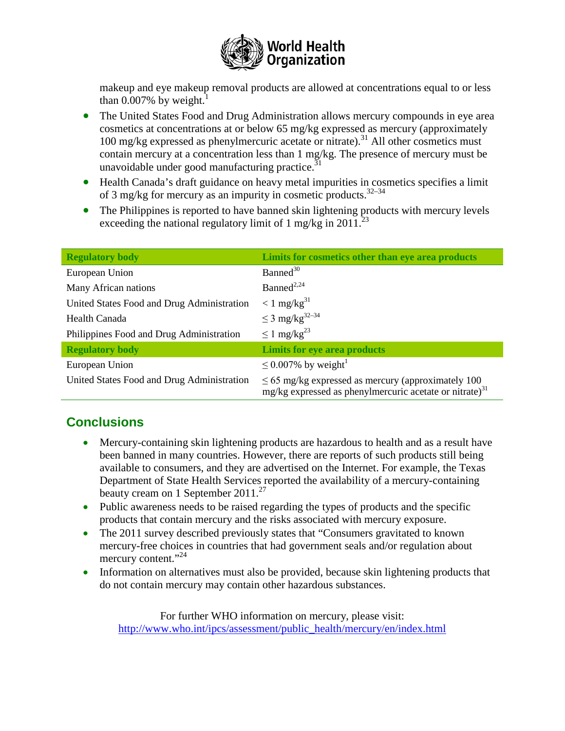

makeup and eye makeup removal products are allowed at concentrations equal to or less than  $0.007\%$  by weight.

- The United States Food and Drug Administration allows mercury compounds in eye area cosmetics at concentrations at or below 65 mg/kg expressed as mercury (approximately  $100 \text{ mg/kg}$  expressed as phenylmercuric acetate or nitrate).<sup>31</sup> All other cosmetics must contain mercury at a concentration less than 1 mg/kg. The presence of mercury must be unavoidable under good manufacturing practice. $31$
- Health Canada's draft guidance on heavy metal impurities in cosmetics specifies a limit of 3 mg/kg for mercury as an impurity in cosmetic products.<sup>32-34</sup>
- The Philippines is reported to have banned skin lightening products with mercury levels exceeding the national regulatory limit of 1 mg/kg in 2011.<sup>23</sup>

| <b>Regulatory body</b>                     | Limits for cosmetics other than eye area products                                                                              |
|--------------------------------------------|--------------------------------------------------------------------------------------------------------------------------------|
| European Union                             | Banned <sup>30</sup>                                                                                                           |
| Many African nations                       | Banned <sup>2,24</sup>                                                                                                         |
| United States Food and Drug Administration | $< 1$ mg/kg <sup>31</sup>                                                                                                      |
| Health Canada                              | $\leq$ 3 mg/kg <sup>32-34</sup>                                                                                                |
| Philippines Food and Drug Administration   | $\leq 1$ mg/kg <sup>23</sup>                                                                                                   |
| <b>Regulatory body</b>                     | <b>Limits for eye area products</b>                                                                                            |
| European Union                             | $\leq 0.007\%$ by weight <sup>1</sup>                                                                                          |
| United States Food and Drug Administration | $\leq$ 65 mg/kg expressed as mercury (approximately 100<br>mg/kg expressed as phenylmercuric acetate or nitrate) <sup>31</sup> |

# **Conclusions**

- Mercury-containing skin lightening products are hazardous to health and as a result have been banned in many countries. However, there are reports of such products still being available to consumers, and they are advertised on the Internet. For example, the Texas Department of State Health Services reported the availability of a mercury-containing beauty cream on 1 September 2011.<sup>27</sup>
- Public awareness needs to be raised regarding the types of products and the specific products that contain mercury and the risks associated with mercury exposure.
- The 2011 survey described previously states that "Consumers gravitated to known" mercury-free choices in countries that had government seals and/or regulation about mercury content."<sup>24</sup>
- Information on alternatives must also be provided, because skin lightening products that do not contain mercury may contain other hazardous substances.

For further WHO information on mercury, please visit: [http://www.who.int/ipcs/assessment/public\\_health/mercury/en/index.html](http://www.who.int/ipcs/assessment/public_health/mercury/en/index.html)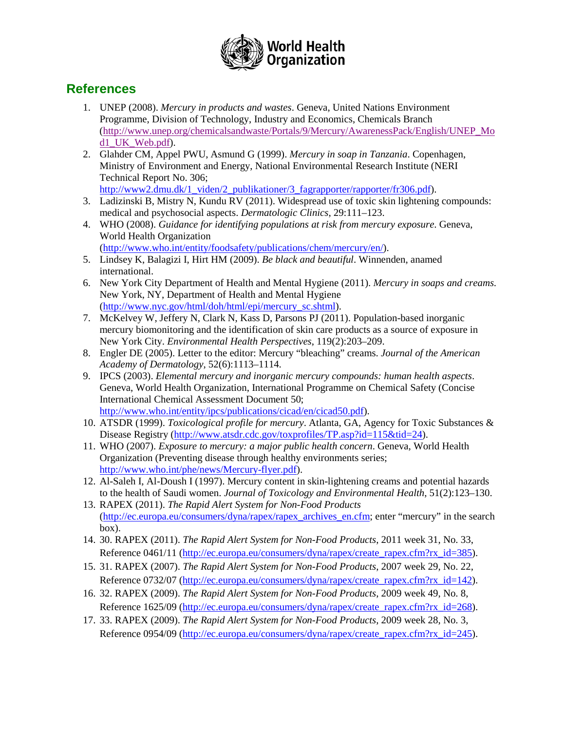

### **References**

- 1. UNEP (2008). *Mercury in products and wastes*. Geneva, United Nations Environment Programme, Division of Technology, Industry and Economics, Chemicals Branch [\(http://www.unep.org/chemicalsandwaste/Portals/9/Mercury/AwarenessPack/English/UNEP\\_Mo](http://www.unep.org/chemicalsandwaste/Portals/9/Mercury/AwarenessPack/English/UNEP_Mod1_UK_Web.pdf) [d1\\_UK\\_Web.pdf\)](http://www.unep.org/chemicalsandwaste/Portals/9/Mercury/AwarenessPack/English/UNEP_Mod1_UK_Web.pdf).
- 2. Glahder CM, Appel PWU, Asmund G (1999). *Mercury in soap in Tanzania*. Copenhagen, Ministry of Environment and Energy, National Environmental Research Institute (NERI Technical Report No. 306;
- [http://www2.dmu.dk/1\\_viden/2\\_publikationer/3\\_fagrapporter/rapporter/fr306.pdf\)](http://www2.dmu.dk/1_viden/2_publikationer/3_fagrapporter/rapporter/fr306.pdf).
- 3. Ladizinski B, Mistry N, Kundu RV (2011). Widespread use of toxic skin lightening compounds: medical and psychosocial aspects. *Dermatologic Clinics*, 29:111–123.
- 4. WHO (2008). *Guidance for identifying populations at risk from mercury exposure*. Geneva, World Health Organization [\(http://www.who.int/entity/foodsafety/publications/chem/mercury/en/\)](http://www.who.int/entity/foodsafety/publications/chem/mercury/en/).
- 5. Lindsey K, Balagizi I, Hirt HM (2009). *Be black and beautiful*. Winnenden, anamed international.
- 6. New York City Department of Health and Mental Hygiene (2011). *Mercury in soaps and creams.* New York, NY, Department of Health and Mental Hygiene [\(http://www.nyc.gov/html/doh/html/epi/mercury\\_sc.shtml\)](http://www.nyc.gov/html/doh/html/epi/mercury_sc.shtml).
- 7. McKelvey W, Jeffery N, Clark N, Kass D, Parsons PJ (2011). Population-based inorganic mercury biomonitoring and the identification of skin care products as a source of exposure in New York City. *Environmental Health Perspectives*, 119(2):203–209.
- 8. Engler DE (2005). Letter to the editor: Mercury "bleaching" creams. *Journal of the American Academy of Dermatology*, 52(6):1113–1114.
- 9. IPCS (2003). *Elemental mercury and inorganic mercury compounds: human health aspects*. Geneva, World Health Organization, International Programme on Chemical Safety (Concise International Chemical Assessment Document 50; [http://www.who.int/entity/ipcs/publications/cicad/en/cicad50.pdf\)](http://www.who.int/entity/ipcs/publications/cicad/en/cicad50.pdf).
- 10. ATSDR (1999). *Toxicological profile for mercury*. Atlanta, GA, Agency for Toxic Substances & Disease Registry [\(http://www.atsdr.cdc.gov/toxprofiles/TP.asp?id=115&tid=24\)](http://www.atsdr.cdc.gov/toxprofiles/TP.asp?id=115&tid=24).
- 11. WHO (2007). *Exposure to mercury: a major public health concern*. Geneva, World Health Organization (Preventing disease through healthy environments series; [http://www.who.int/phe/news/Mercury-flyer.pdf\)](http://www.who.int/phe/news/Mercury-flyer.pdf).
- 12. Al-Saleh I, Al-Doush I (1997). Mercury content in skin-lightening creams and potential hazards to the health of Saudi women. *Journal of Toxicology and Environmental Health*, 51(2):123–130.
- 13. RAPEX (2011). *The Rapid Alert System for Non-Food Products* [\(http://ec.europa.eu/consumers/dyna/rapex/rapex\\_archives\\_en.cfm;](http://ec.europa.eu/consumers/dyna/rapex/rapex_archives_en.cfm) enter "mercury" in the search box).
- 14. 30. RAPEX (2011). *The Rapid Alert System for Non-Food Products*, 2011 week 31, No. 33, Reference 0461/11 [\(http://ec.europa.eu/consumers/dyna/rapex/create\\_rapex.cfm?rx\\_id=385\)](http://ec.europa.eu/consumers/dyna/rapex/create_rapex.cfm?rx_id=385).
- 15. 31. RAPEX (2007). *The Rapid Alert System for Non-Food Products*, 2007 week 29, No. 22, Reference 0732/07 [\(http://ec.europa.eu/consumers/dyna/rapex/create\\_rapex.cfm?rx\\_id=142\)](http://ec.europa.eu/consumers/dyna/rapex/create_rapex.cfm?rx_id=142).
- 16. 32. RAPEX (2009). *The Rapid Alert System for Non-Food Products*, 2009 week 49, No. 8, Reference 1625/09 [\(http://ec.europa.eu/consumers/dyna/rapex/create\\_rapex.cfm?rx\\_id=268\)](http://ec.europa.eu/consumers/dyna/rapex/create_rapex.cfm?rx_id=268).
- 17. 33. RAPEX (2009). *The Rapid Alert System for Non-Food Products*, 2009 week 28, No. 3, Reference 0954/09 [\(http://ec.europa.eu/consumers/dyna/rapex/create\\_rapex.cfm?rx\\_id=245\)](http://ec.europa.eu/consumers/dyna/rapex/create_rapex.cfm?rx_id=245).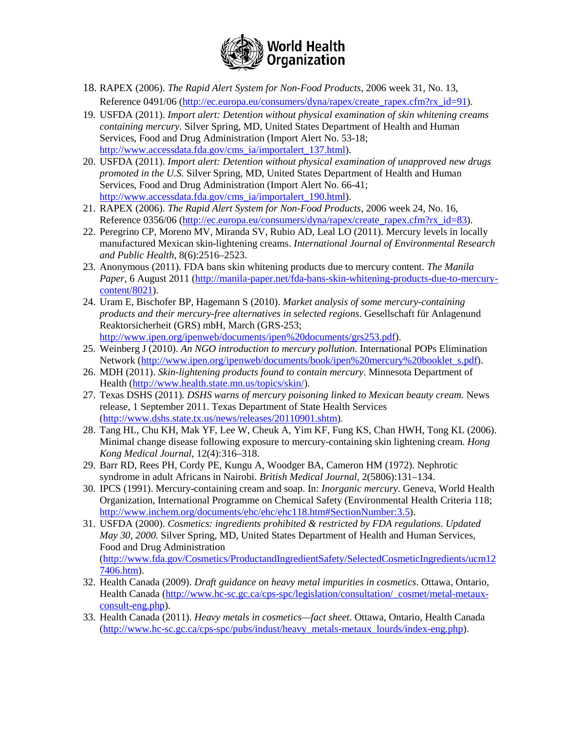

- 18. RAPEX (2006). *The Rapid Alert System for Non-Food Products*, 2006 week 31, No. 13, Reference 0491/06 [\(http://ec.europa.eu/consumers/dyna/rapex/create\\_rapex.cfm?rx\\_id=91\)](http://ec.europa.eu/consumers/dyna/rapex/create_rapex.cfm?rx_id=91).
- 19. USFDA (2011). *Import alert: Detention without physical examination of skin whitening creams containing mercury.* Silver Spring, MD, United States Department of Health and Human Services, Food and Drug Administration (Import Alert No. 53-18; [http://www.accessdata.fda.gov/cms\\_ia/importalert\\_137.html\)](http://www.accessdata.fda.gov/cms_ia/importalert_137.html).
- 20. USFDA (2011). *Import alert: Detention without physical examination of unapproved new drugs promoted in the U.S.* Silver Spring, MD, United States Department of Health and Human Services, Food and Drug Administration (Import Alert No. 66-41; [http://www.accessdata.fda.gov/cms\\_ia/importalert\\_190.html\)](http://www.accessdata.fda.gov/cms_ia/importalert_190.html).
- 21. RAPEX (2006). *The Rapid Alert System for Non-Food Products*, 2006 week 24, No. 16, Reference 0356/06 [\(http://ec.europa.eu/consumers/dyna/rapex/create\\_rapex.cfm?rx\\_id=83\)](http://ec.europa.eu/consumers/dyna/rapex/create_rapex.cfm?rx_id=83).
- 22. Peregrino CP, Moreno MV, Miranda SV, Rubio AD, Leal LO (2011). Mercury levels in locally manufactured Mexican skin-lightening creams. *International Journal of Environmental Research and Public Health*, 8(6):2516–2523.
- 23. Anonymous (2011). FDA bans skin whitening products due to mercury content. *The Manila Paper*, 6 August 2011 [\(http://manila-paper.net/fda-bans-skin-whitening-products-due-to-mercury](http://manila-paper.net/fda-bans-skin-whitening-products-due-to-mercury-content/8021)[content/8021\)](http://manila-paper.net/fda-bans-skin-whitening-products-due-to-mercury-content/8021).
- 24. Uram E, Bischofer BP, Hagemann S (2010). *Market analysis of some mercury-containing products and their mercury-free alternatives in selected regions*. Gesellschaft für Anlagenund Reaktorsicherheit (GRS) mbH, March (GRS-253; [http://www.ipen.org/ipenweb/documents/ipen%20documents/grs253.pdf\)](http://www.ipen.org/ipenweb/documents/ipen%20documents/grs253.pdf).
- 25. Weinberg J (2010). *An NGO introduction to mercury pollution*. International POPs Elimination Network [\(http://www.ipen.org/ipenweb/documents/book/ipen%20mercury%20booklet\\_s.pdf\)](http://www.ipen.org/ipenweb/documents/book/ipen%20mercury%20booklet_s.pdf).
- 26. MDH (2011). *Skin-lightening products found to contain mercury*. Minnesota Department of Health [\(http://www.health.state.mn.us/topics/skin/\)](http://www.health.state.mn.us/topics/skin/).
- 27. Texas DSHS (2011). *DSHS warns of mercury poisoning linked to Mexican beauty cream.* News release, 1 September 2011. Texas Department of State Health Services [\(http://www.dshs.state.tx.us/news/releases/20110901.shtm\)](http://www.dshs.state.tx.us/news/releases/20110901.shtm).
- 28. Tang HL, Chu KH, Mak YF, Lee W, Cheuk A, Yim KF, Fung KS, Chan HWH, Tong KL (2006). Minimal change disease following exposure to mercury-containing skin lightening cream. *Hong Kong Medical Journal*, 12(4):316–318.
- 29. Barr RD, Rees PH, Cordy PE, Kungu A, Woodger BA, Cameron HM (1972). Nephrotic syndrome in adult Africans in Nairobi. *British Medical Journal*, 2(5806):131–134.
- 30. IPCS (1991). Mercury-containing cream and soap. In: *Inorganic mercury*. Geneva, World Health Organization, International Programme on Chemical Safety (Environmental Health Criteria 118; [http://www.inchem.org/documents/ehc/ehc/ehc118.htm#SectionNumber:3.5\)](http://www.inchem.org/documents/ehc/ehc/ehc118.htm#SectionNumber:3.5).
- 31. USFDA (2000). *Cosmetics: ingredients prohibited & restricted by FDA regulations. Updated May 30, 2000.* Silver Spring, MD, United States Department of Health and Human Services, Food and Drug Administration [\(http://www.fda.gov/Cosmetics/ProductandIngredientSafety/SelectedCosmeticIngredients/ucm12](http://www.fda.gov/Cosmetics/ProductandIngredientSafety/SelectedCosmeticIngredients/ucm127406.htm) [7406.htm\)](http://www.fda.gov/Cosmetics/ProductandIngredientSafety/SelectedCosmeticIngredients/ucm127406.htm).
- 32. Health Canada (2009). *Draft guidance on heavy metal impurities in cosmetics*. Ottawa, Ontario, Health Canada [\(http://www.hc-sc.gc.ca/cps-spc/legislation/consultation/\\_cosmet/metal-metaux](http://www.hc-sc.gc.ca/cps-spc/legislation/consultation/_cosmet/metal-metaux-consult-eng.php)[consult-eng.php\)](http://www.hc-sc.gc.ca/cps-spc/legislation/consultation/_cosmet/metal-metaux-consult-eng.php).
- 33. Health Canada (2011). *Heavy metals in cosmetics—fact sheet*. Ottawa, Ontario, Health Canada [\(http://www.hc-sc.gc.ca/cps-spc/pubs/indust/heavy\\_metals-metaux\\_lourds/index-eng.php\)](http://www.hc-sc.gc.ca/cps-spc/pubs/indust/heavy_metals-metaux_lourds/index-eng.php).